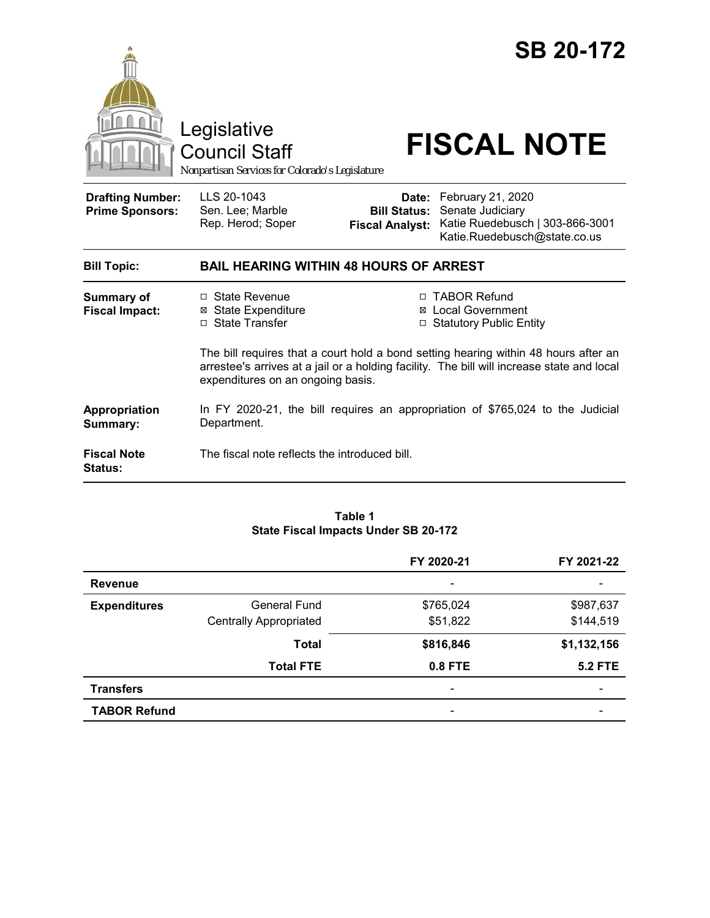

#### **Table 1 State Fiscal Impacts Under SB 20-172**

|                     |                               | FY 2020-21                   | FY 2021-22     |
|---------------------|-------------------------------|------------------------------|----------------|
| <b>Revenue</b>      |                               | $\overline{\phantom{a}}$     |                |
| <b>Expenditures</b> | <b>General Fund</b>           | \$765,024                    | \$987,637      |
|                     | <b>Centrally Appropriated</b> | \$51,822                     | \$144,519      |
|                     | <b>Total</b>                  | \$816,846                    | \$1,132,156    |
|                     | <b>Total FTE</b>              | 0.8 FTE                      | <b>5.2 FTE</b> |
| <b>Transfers</b>    |                               | $\qquad \qquad \blacksquare$ |                |
| <b>TABOR Refund</b> |                               | $\overline{\phantom{a}}$     |                |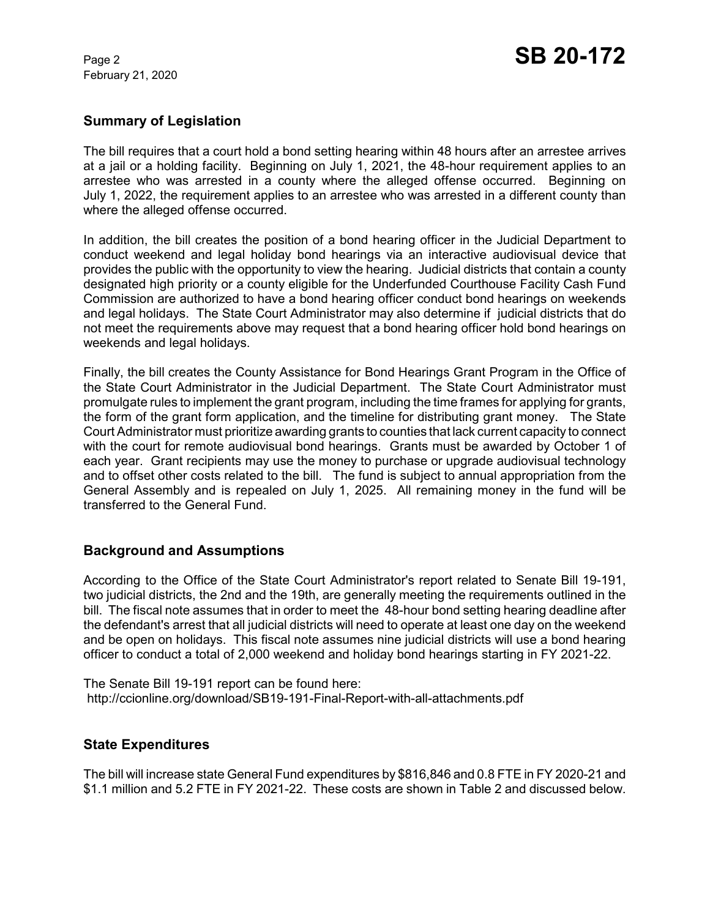February 21, 2020

# **Summary of Legislation**

The bill requires that a court hold a bond setting hearing within 48 hours after an arrestee arrives at a jail or a holding facility. Beginning on July 1, 2021, the 48-hour requirement applies to an arrestee who was arrested in a county where the alleged offense occurred. Beginning on July 1, 2022, the requirement applies to an arrestee who was arrested in a different county than where the alleged offense occurred.

In addition, the bill creates the position of a bond hearing officer in the Judicial Department to conduct weekend and legal holiday bond hearings via an interactive audiovisual device that provides the public with the opportunity to view the hearing. Judicial districts that contain a county designated high priority or a county eligible for the Underfunded Courthouse Facility Cash Fund Commission are authorized to have a bond hearing officer conduct bond hearings on weekends and legal holidays. The State Court Administrator may also determine if judicial districts that do not meet the requirements above may request that a bond hearing officer hold bond hearings on weekends and legal holidays.

Finally, the bill creates the County Assistance for Bond Hearings Grant Program in the Office of the State Court Administrator in the Judicial Department. The State Court Administrator must promulgate rules to implement the grant program, including the time frames for applying for grants, the form of the grant form application, and the timeline for distributing grant money. The State Court Administrator must prioritize awarding grants to counties that lack current capacity to connect with the court for remote audiovisual bond hearings. Grants must be awarded by October 1 of each year. Grant recipients may use the money to purchase or upgrade audiovisual technology and to offset other costs related to the bill. The fund is subject to annual appropriation from the General Assembly and is repealed on July 1, 2025. All remaining money in the fund will be transferred to the General Fund.

# **Background and Assumptions**

According to the Office of the State Court Administrator's report related to Senate Bill 19-191, two judicial districts, the 2nd and the 19th, are generally meeting the requirements outlined in the bill. The fiscal note assumes that in order to meet the 48-hour bond setting hearing deadline after the defendant's arrest that all judicial districts will need to operate at least one day on the weekend and be open on holidays. This fiscal note assumes nine judicial districts will use a bond hearing officer to conduct a total of 2,000 weekend and holiday bond hearings starting in FY 2021-22.

The Senate Bill 19-191 report can be found here: http://ccionline.org/download/SB19-191-Final-Report-with-all-attachments.pdf

# **State Expenditures**

The bill will increase state General Fund expenditures by \$816,846 and 0.8 FTE in FY 2020-21 and \$1.1 million and 5.2 FTE in FY 2021-22. These costs are shown in Table 2 and discussed below.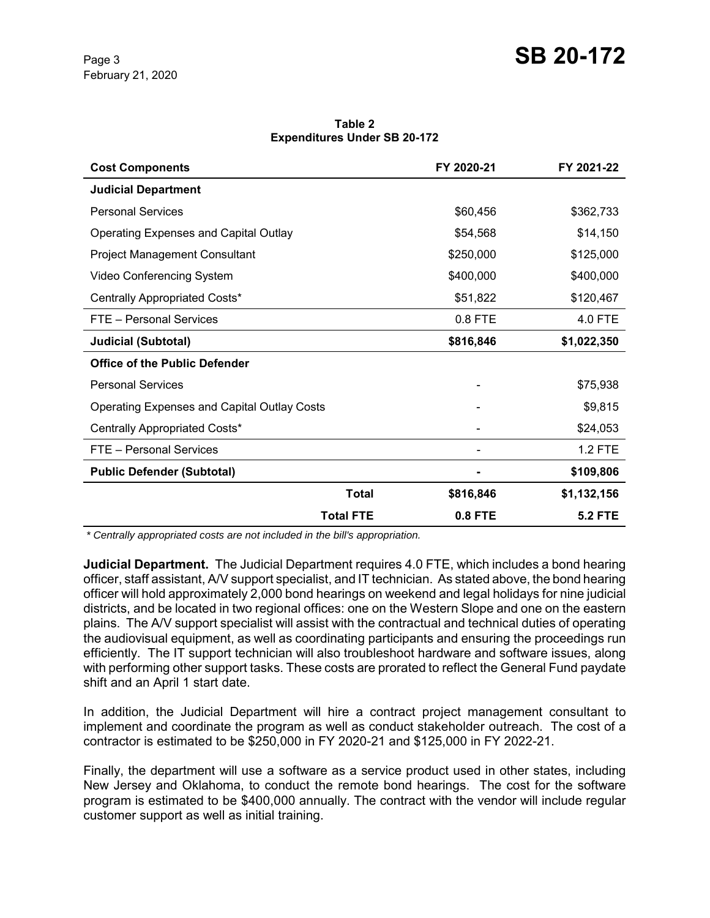**Table 2 Expenditures Under SB 20-172**

| <b>Cost Components</b>                             |              | FY 2020-21     | FY 2021-22     |
|----------------------------------------------------|--------------|----------------|----------------|
| <b>Judicial Department</b>                         |              |                |                |
| <b>Personal Services</b>                           |              | \$60,456       | \$362,733      |
| <b>Operating Expenses and Capital Outlay</b>       |              | \$54,568       | \$14,150       |
| <b>Project Management Consultant</b>               |              | \$250,000      | \$125,000      |
| Video Conferencing System                          |              | \$400,000      | \$400,000      |
| Centrally Appropriated Costs*                      |              | \$51,822       | \$120,467      |
| FTE - Personal Services                            |              | 0.8 FTE        | 4.0 FTE        |
| <b>Judicial (Subtotal)</b>                         |              | \$816,846      | \$1,022,350    |
| <b>Office of the Public Defender</b>               |              |                |                |
| <b>Personal Services</b>                           |              |                | \$75,938       |
| <b>Operating Expenses and Capital Outlay Costs</b> |              |                | \$9,815        |
| Centrally Appropriated Costs*                      |              |                | \$24,053       |
| FTE - Personal Services                            |              |                | <b>1.2 FTE</b> |
| <b>Public Defender (Subtotal)</b>                  |              |                | \$109,806      |
|                                                    | <b>Total</b> | \$816,846      | \$1,132,156    |
| <b>Total FTE</b>                                   |              | <b>0.8 FTE</b> | <b>5.2 FTE</b> |

 *\* Centrally appropriated costs are not included in the bill's appropriation.*

**Judicial Department.** The Judicial Department requires 4.0 FTE, which includes a bond hearing officer, staff assistant, A/V support specialist, and IT technician. As stated above, the bond hearing officer will hold approximately 2,000 bond hearings on weekend and legal holidays for nine judicial districts, and be located in two regional offices: one on the Western Slope and one on the eastern plains. The A/V support specialist will assist with the contractual and technical duties of operating the audiovisual equipment, as well as coordinating participants and ensuring the proceedings run efficiently. The IT support technician will also troubleshoot hardware and software issues, along with performing other support tasks. These costs are prorated to reflect the General Fund paydate shift and an April 1 start date.

In addition, the Judicial Department will hire a contract project management consultant to implement and coordinate the program as well as conduct stakeholder outreach. The cost of a contractor is estimated to be \$250,000 in FY 2020-21 and \$125,000 in FY 2022-21.

Finally, the department will use a software as a service product used in other states, including New Jersey and Oklahoma, to conduct the remote bond hearings. The cost for the software program is estimated to be \$400,000 annually. The contract with the vendor will include regular customer support as well as initial training.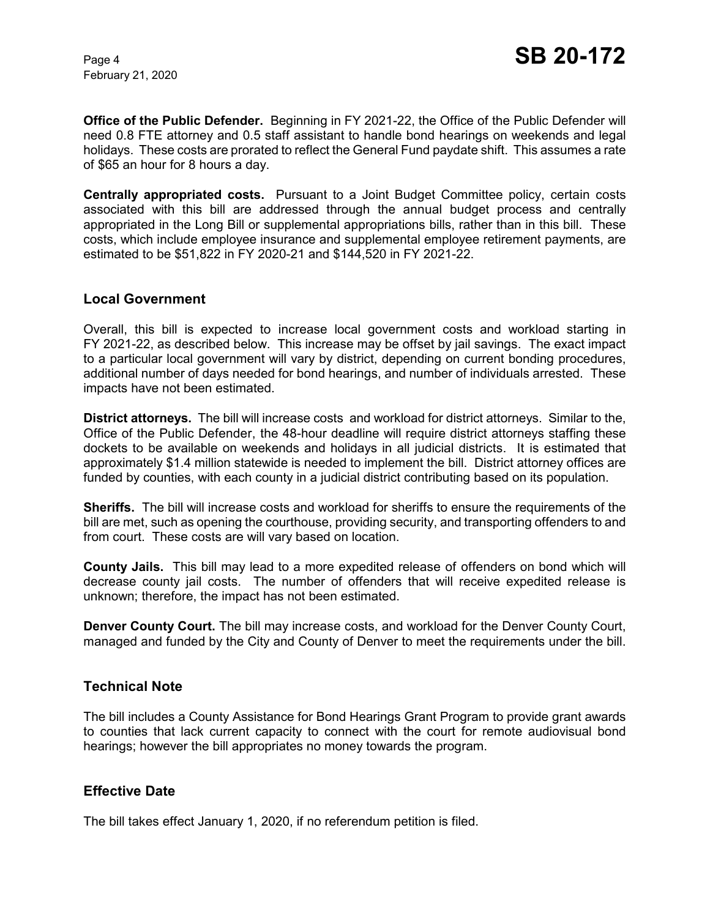February 21, 2020

**Office of the Public Defender.** Beginning in FY 2021-22, the Office of the Public Defender will need 0.8 FTE attorney and 0.5 staff assistant to handle bond hearings on weekends and legal holidays. These costs are prorated to reflect the General Fund paydate shift. This assumes a rate of \$65 an hour for 8 hours a day.

**Centrally appropriated costs.** Pursuant to a Joint Budget Committee policy, certain costs associated with this bill are addressed through the annual budget process and centrally appropriated in the Long Bill or supplemental appropriations bills, rather than in this bill. These costs, which include employee insurance and supplemental employee retirement payments, are estimated to be \$51,822 in FY 2020-21 and \$144,520 in FY 2021-22.

#### **Local Government**

Overall, this bill is expected to increase local government costs and workload starting in FY 2021-22, as described below. This increase may be offset by jail savings. The exact impact to a particular local government will vary by district, depending on current bonding procedures, additional number of days needed for bond hearings, and number of individuals arrested. These impacts have not been estimated.

**District attorneys.** The bill will increase costs and workload for district attorneys. Similar to the, Office of the Public Defender, the 48-hour deadline will require district attorneys staffing these dockets to be available on weekends and holidays in all judicial districts. It is estimated that approximately \$1.4 million statewide is needed to implement the bill. District attorney offices are funded by counties, with each county in a judicial district contributing based on its population.

**Sheriffs.** The bill will increase costs and workload for sheriffs to ensure the requirements of the bill are met, such as opening the courthouse, providing security, and transporting offenders to and from court. These costs are will vary based on location.

**County Jails.** This bill may lead to a more expedited release of offenders on bond which will decrease county jail costs. The number of offenders that will receive expedited release is unknown; therefore, the impact has not been estimated.

**Denver County Court.** The bill may increase costs, and workload for the Denver County Court, managed and funded by the City and County of Denver to meet the requirements under the bill.

## **Technical Note**

The bill includes a County Assistance for Bond Hearings Grant Program to provide grant awards to counties that lack current capacity to connect with the court for remote audiovisual bond hearings; however the bill appropriates no money towards the program.

## **Effective Date**

The bill takes effect January 1, 2020, if no referendum petition is filed.